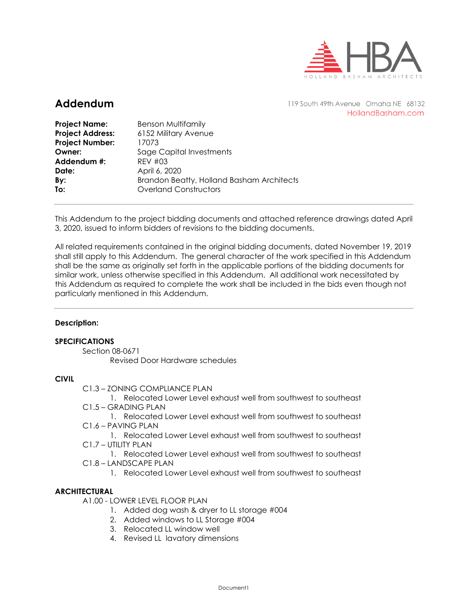

## **Addendum**

119 South 49th Avenue Omaha NE 68132 HollandBasham.com

| <b>Benson Multifamily</b><br>6152 Military Avenue<br>17073<br>Sage Capital Investments<br>$RFV$ #03<br>April 6, 2020<br>Brandon Beatty, Holland Basham Architects |
|-------------------------------------------------------------------------------------------------------------------------------------------------------------------|
| <b>Overland Constructors</b>                                                                                                                                      |
|                                                                                                                                                                   |

This Addendum to the project bidding documents and attached reference drawings dated April 3, 2020, issued to inform bidders of revisions to the bidding documents.

All related requirements contained in the original bidding documents, dated November 19, 2019 shall still apply to this Addendum. The general character of the work specified in this Addendum shall be the same as originally set forth in the applicable portions of the bidding documents for similar work, unless otherwise specified in this Addendum. All additional work necessitated by this Addendum as required to complete the work shall be included in the bids even though not particularly mentioned in this Addendum.

### **Description:**

### **SPECIFICATIONS**

Section 08-0671 Revised Door Hardware schedules

### **CIVIL**

C1.3 – ZONING COMPLIANCE PLAN

1. Relocated Lower Level exhaust well from southwest to southeast C1.5 – GRADING PLAN

1. Relocated Lower Level exhaust well from southwest to southeast C1.6 – PAVING PLAN

1. Relocated Lower Level exhaust well from southwest to southeast C1.7 – UTILITY PLAN

1. Relocated Lower Level exhaust well from southwest to southeast

- C1.8 LANDSCAPE PLAN
	- 1. Relocated Lower Level exhaust well from southwest to southeast

### **ARCHITECTURAL**

A1.00 - LOWER LEVEL FLOOR PLAN

- 1. Added dog wash & dryer to LL storage #004
- 2. Added windows to LL Storage #004
- 3. Relocated LL window well
- 4. Revised LL lavatory dimensions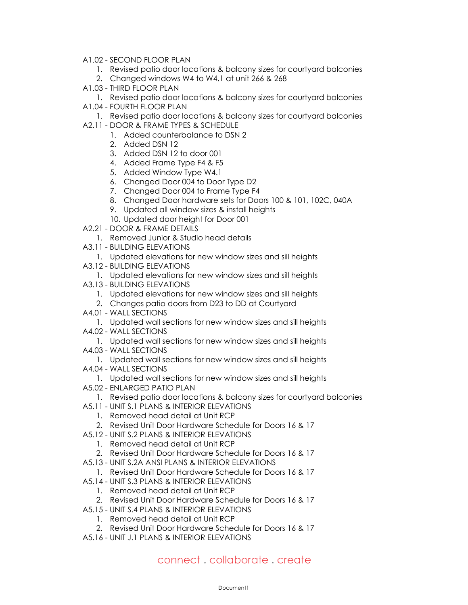- A1.02 SECOND FLOOR PLAN
	- 1. Revised patio door locations & balcony sizes for courtyard balconies
	- 2. Changed windows W4 to W4.1 at unit 266 & 268
- A1.03 THIRD FLOOR PLAN
- 1. Revised patio door locations & balcony sizes for courtyard balconies
- A1.04 FOURTH FLOOR PLAN
	- 1. Revised patio door locations & balcony sizes for courtyard balconies
- A2.11 DOOR & FRAME TYPES & SCHEDULE
	- 1. Added counterbalance to DSN 2
	- 2. Added DSN 12
	- 3. Added DSN 12 to door 001
	- 4. Added Frame Type F4 & F5
	- 5. Added Window Type W4.1
	- 6. Changed Door 004 to Door Type D2
	- 7. Changed Door 004 to Frame Type F4
	- 8. Changed Door hardware sets for Doors 100 & 101, 102C, 040A
	- 9. Updated all window sizes & install heights
	- 10. Updated door height for Door 001
- A2.21 DOOR & FRAME DETAILS
	- 1. Removed Junior & Studio head details
- A3.11 BUILDING ELEVATIONS
	- 1. Updated elevations for new window sizes and sill heights
- A3.12 BUILDING ELEVATIONS
- 1. Updated elevations for new window sizes and sill heights
- A3.13 BUILDING ELEVATIONS
	- 1. Updated elevations for new window sizes and sill heights
	- 2. Changes patio doors from D23 to DD at Courtyard
- A4.01 WALL SECTIONS
	- 1. Updated wall sections for new window sizes and sill heights
- A4.02 WALL SECTIONS
	- 1. Updated wall sections for new window sizes and sill heights
- A4.03 WALL SECTIONS
	- 1. Updated wall sections for new window sizes and sill heights
- A4.04 WALL SECTIONS
- 1. Updated wall sections for new window sizes and sill heights
- A5.02 ENLARGED PATIO PLAN
	- 1. Revised patio door locations & balcony sizes for courtyard balconies
- A5.11 UNIT S.1 PLANS & INTERIOR ELEVATIONS
	- 1. Removed head detail at Unit RCP
	- 2. Revised Unit Door Hardware Schedule for Doors 16 & 17
- A5.12 UNIT S.2 PLANS & INTERIOR ELEVATIONS
	- 1. Removed head detail at Unit RCP
	- 2. Revised Unit Door Hardware Schedule for Doors 16 & 17
- A5.13 UNIT S.2A ANSI PLANS & INTERIOR ELEVATIONS
	- 1. Revised Unit Door Hardware Schedule for Doors 16 & 17
- A5.14 UNIT S.3 PLANS & INTERIOR ELEVATIONS
	- 1. Removed head detail at Unit RCP
	- 2. Revised Unit Door Hardware Schedule for Doors 16 & 17
- A5.15 UNIT S.4 PLANS & INTERIOR ELEVATIONS
	- 1. Removed head detail at Unit RCP
	- 2. Revised Unit Door Hardware Schedule for Doors 16 & 17
- A5.16 UNIT J.1 PLANS & INTERIOR ELEVATIONS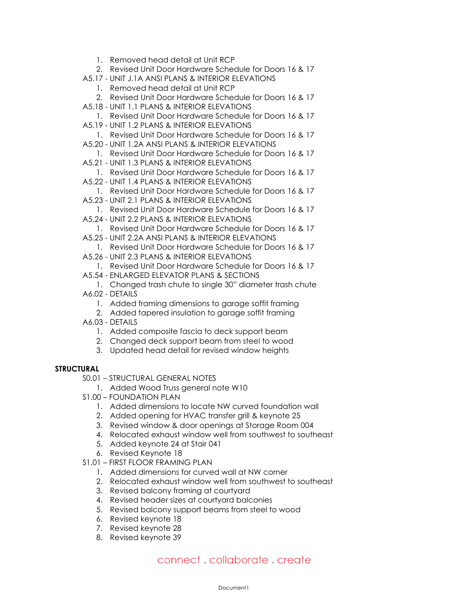- 1. Removed head detail at Unit RCP
- 2. Revised Unit Door Hardware Schedule for Doors 16 & 17
- A5.17 UNIT J.1A ANSI PLANS & INTERIOR ELEVATIONS
	- 1. Removed head detail at Unit RCP
	- 2. Revised Unit Door Hardware Schedule for Doors 16 & 17
- A5.18 UNIT 1.1 PLANS & INTERIOR ELEVATIONS
- 1. Revised Unit Door Hardware Schedule for Doors 16 & 17
- A5.19 UNIT 1.2 PLANS & INTERIOR ELEVATIONS
- 1. Revised Unit Door Hardware Schedule for Doors 16 & 17 A5.20 - UNIT 1.2A ANSI PLANS & INTERIOR ELEVATIONS
	- 1. Revised Unit Door Hardware Schedule for Doors 16 & 17
- A5.21 UNIT 1.3 PLANS & INTERIOR ELEVATIONS
- 1. Revised Unit Door Hardware Schedule for Doors 16 & 17
- A5.22 UNIT 1.4 PLANS & INTERIOR ELEVATIONS
- 1. Revised Unit Door Hardware Schedule for Doors 16 & 17
- A5.23 UNIT 2.1 PLANS & INTERIOR ELEVATIONS
- 1. Revised Unit Door Hardware Schedule for Doors 16 & 17
- A5.24 UNIT 2.2 PLANS & INTERIOR ELEVATIONS
- 1. Revised Unit Door Hardware Schedule for Doors 16 & 17
- A5.25 UNIT 2.2A ANSI PLANS & INTERIOR ELEVATIONS
- 1. Revised Unit Door Hardware Schedule for Doors 16 & 17 A5.26 - UNIT 2.3 PLANS & INTERIOR ELEVATIONS
- 1. Revised Unit Door Hardware Schedule for Doors 16 & 17
- A5.54 ENLARGED ELEVATOR PLANS & SECTIONS
- 1. Changed trash chute to single 30" diameter trash chute A6.02 - DETAILS
	- 1. Added framing dimensions to garage soffit framing
	- 2. Added tapered insulation to garage soffit framing
- A6.03 DETAILS
	- 1. Added composite fascia to deck support beam
	- 2. Changed deck support beam from steel to wood
	- 3. Updated head detail for revised window heights

### **STRUCTURAL**

- S0.01 STRUCTURAL GENERAL NOTES
	- 1. Added Wood Truss general note W10
- S1.00 FOUNDATION PLAN
	- 1. Added dimensions to locate NW curved foundation wall
	- 2. Added opening for HVAC transfer grill & keynote 25
	- 3. Revised window & door openings at Storage Room 004
	- 4. Relocated exhaust window well from southwest to southeast
	- 5. Added keynote 24 at Stair 041
	- 6. Revised Keynote 18
- S1.01 FIRST FLOOR FRAMING PLAN
	- 1. Added dimensions for curved wall at NW corner
	- 2. Relocated exhaust window well from southwest to southeast
	- 3. Revised balcony framing at courtyard
	- 4. Revised header sizes at courtyard balconies
	- 5. Revised balcony support beams from steel to wood
	- 6. Revised keynote 18
	- 7. Revised keynote 28
	- 8. Revised keynote 39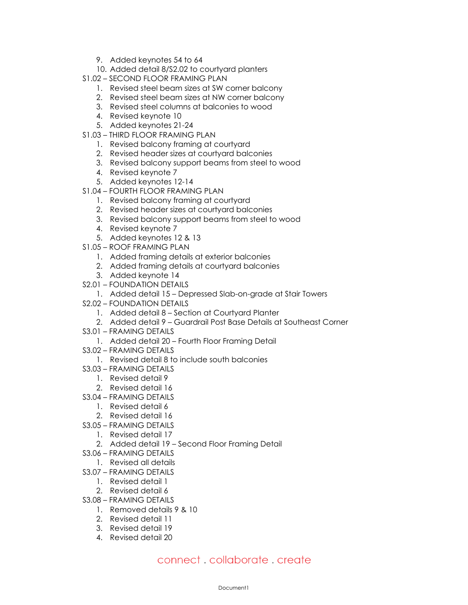- 9. Added keynotes 54 to 64
- 10. Added detail 8/S2.02 to courtyard planters
- S1.02 SECOND FLOOR FRAMING PLAN
	- 1. Revised steel beam sizes at SW corner balcony
	- 2. Revised steel beam sizes at NW corner balcony
	- 3. Revised steel columns at balconies to wood
	- 4. Revised keynote 10
	- 5. Added keynotes 21-24
- S1.03 THIRD FLOOR FRAMING PLAN
	- 1. Revised balcony framing at courtyard
	- 2. Revised header sizes at courtyard balconies
	- 3. Revised balcony support beams from steel to wood
	- 4. Revised keynote 7
	- 5. Added keynotes 12-14
- S1.04 FOURTH FLOOR FRAMING PLAN
	- 1. Revised balcony framing at courtyard
	- 2. Revised header sizes at courtyard balconies
	- 3. Revised balcony support beams from steel to wood
	- 4. Revised keynote 7
	- 5. Added keynotes 12 & 13
- S1.05 ROOF FRAMING PLAN
	- 1. Added framing details at exterior balconies
	- 2. Added framing details at courtyard balconies
	- 3. Added keynote 14
- S2.01 FOUNDATION DETAILS
	- 1. Added detail 15 Depressed Slab-on-grade at Stair Towers
- S2.02 FOUNDATION DETAILS
	- 1. Added detail 8 Section at Courtyard Planter
	- 2. Added detail 9 Guardrail Post Base Details at Southeast Corner
- S3.01 FRAMING DETAILS
	- 1. Added detail 20 Fourth Floor Framing Detail
- S3.02 FRAMING DETAILS
	- 1. Revised detail 8 to include south balconies
- S3.03 FRAMING DETAILS
	- 1. Revised detail 9
	- 2. Revised detail 16
- S3.04 FRAMING DETAILS
	- 1. Revised detail 6
	- 2. Revised detail 16
- S3.05 FRAMING DETAILS
	- 1. Revised detail 17
	- 2. Added detail 19 Second Floor Framing Detail
- S3.06 FRAMING DETAILS
	- 1. Revised all details
- S3.07 FRAMING DETAILS
	- 1. Revised detail 1
	- 2. Revised detail 6
- S3.08 FRAMING DETAILS
	- 1. Removed details 9 & 10
	- 2. Revised detail 11
	- 3. Revised detail 19
	- 4. Revised detail 20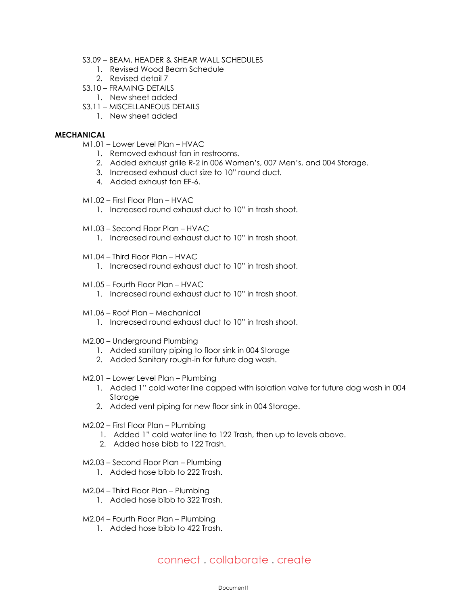- S3.09 BEAM, HEADER & SHEAR WALL SCHEDULES
	- 1. Revised Wood Beam Schedule
	- 2. Revised detail 7
- S3.10 FRAMING DETAILS
	- 1. New sheet added
- S3.11 MISCELLANEOUS DETAILS
	- 1. New sheet added

### **MECHANICAL**

- M1.01 Lower Level Plan HVAC
	- 1. Removed exhaust fan in restrooms.
	- 2. Added exhaust grille R-2 in 006 Women's, 007 Men's, and 004 Storage.
	- 3. Increased exhaust duct size to 10" round duct.
	- 4. Added exhaust fan EF-6.
- M1.02 First Floor Plan HVAC
	- 1. Increased round exhaust duct to 10" in trash shoot.
- M1.03 Second Floor Plan HVAC
	- 1. Increased round exhaust duct to 10" in trash shoot.
- M1.04 Third Floor Plan HVAC
	- 1. Increased round exhaust duct to 10" in trash shoot.
- M1.05 Fourth Floor Plan HVAC
	- 1. Increased round exhaust duct to 10" in trash shoot.
- M1.06 Roof Plan Mechanical
	- 1. Increased round exhaust duct to 10" in trash shoot.
- M2.00 Underground Plumbing
	- 1. Added sanitary piping to floor sink in 004 Storage
	- 2. Added Sanitary rough-in for future dog wash.
- M2.01 Lower Level Plan Plumbing
	- 1. Added 1" cold water line capped with isolation valve for future dog wash in 004 **Storage**
	- 2. Added vent piping for new floor sink in 004 Storage.
- M2.02 First Floor Plan Plumbing
	- 1. Added 1" cold water line to 122 Trash, then up to levels above.
	- 2. Added hose bibb to 122 Trash.
- M2.03 Second Floor Plan Plumbing
	- 1. Added hose bibb to 222 Trash.
- M2.04 Third Floor Plan Plumbing
	- 1. Added hose bibb to 322 Trash.
- M2.04 Fourth Floor Plan Plumbing
	- 1. Added hose bibb to 422 Trash.